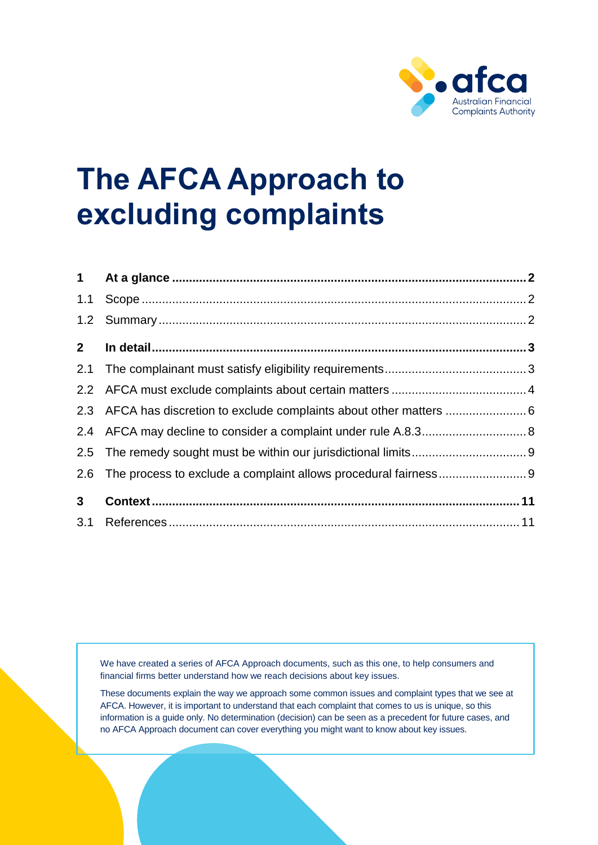

# **The AFCA Approach to excluding complaints**

| 1.1            |                                                                      |  |
|----------------|----------------------------------------------------------------------|--|
| 1.2            |                                                                      |  |
| 2 <sup>7</sup> |                                                                      |  |
| 2.1            |                                                                      |  |
| 2.2            |                                                                      |  |
|                | 2.3 AFCA has discretion to exclude complaints about other matters  6 |  |
| 2.4            |                                                                      |  |
| 2.5            |                                                                      |  |
| 2.6            |                                                                      |  |
| 3 <sup>1</sup> |                                                                      |  |
|                |                                                                      |  |

We have created a series of AFCA Approach documents, such as this one, to help consumers and financial firms better understand how we reach decisions about key issues.

These documents explain the way we approach some common issues and complaint types that we see at AFCA. However, it is important to understand that each complaint that comes to us is unique, so this information is a guide only. No determination (decision) can be seen as a precedent for future cases, and no AFCA Approach document can cover everything you might want to know about key issues.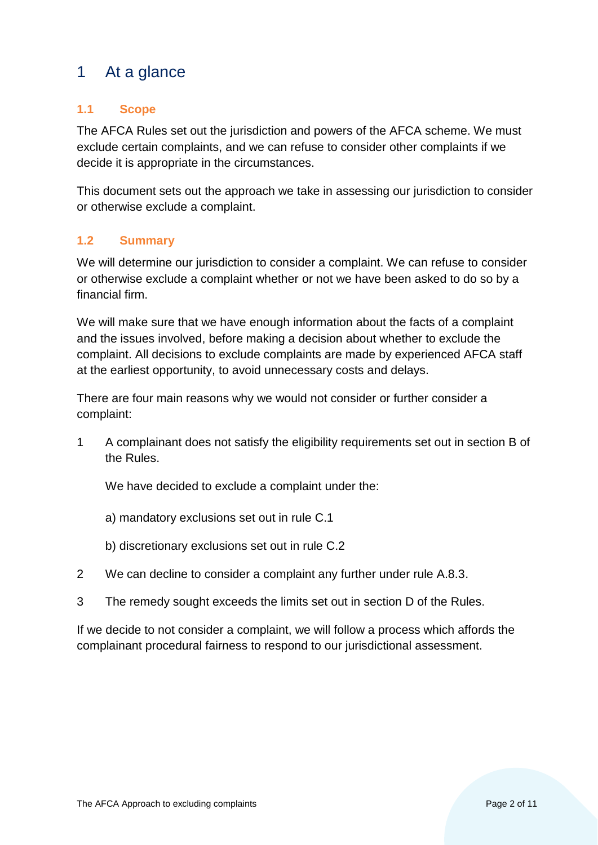# <span id="page-1-0"></span>1 At a glance

#### <span id="page-1-1"></span>**1.1 Scope**

The AFCA Rules set out the jurisdiction and powers of the AFCA scheme. We must exclude certain complaints, and we can refuse to consider other complaints if we decide it is appropriate in the circumstances.

This document sets out the approach we take in assessing our jurisdiction to consider or otherwise exclude a complaint.

#### <span id="page-1-2"></span>**1.2 Summary**

We will determine our jurisdiction to consider a complaint. We can refuse to consider or otherwise exclude a complaint whether or not we have been asked to do so by a financial firm.

We will make sure that we have enough information about the facts of a complaint and the issues involved, before making a decision about whether to exclude the complaint. All decisions to exclude complaints are made by experienced AFCA staff at the earliest opportunity, to avoid unnecessary costs and delays.

There are four main reasons why we would not consider or further consider a complaint:

1 A complainant does not satisfy the eligibility requirements set out in section B of the Rules.

We have decided to exclude a complaint under the:

- a) mandatory exclusions set out in rule C.1
- b) discretionary exclusions set out in rule C.2
- 2 We can decline to consider a complaint any further under rule A.8.3.
- 3 The remedy sought exceeds the limits set out in section D of the Rules.

If we decide to not consider a complaint, we will follow a process which affords the complainant procedural fairness to respond to our jurisdictional assessment.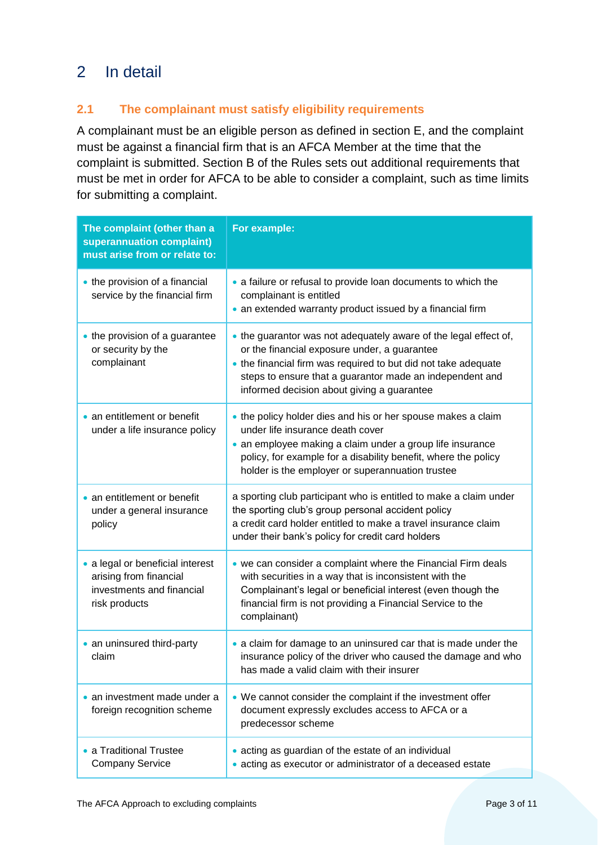# <span id="page-2-0"></span>2 In detail

#### <span id="page-2-1"></span>**2.1 The complainant must satisfy eligibility requirements**

A complainant must be an eligible person as defined in section E, and the complaint must be against a financial firm that is an AFCA Member at the time that the complaint is submitted. Section B of the Rules sets out additional requirements that must be met in order for AFCA to be able to consider a complaint, such as time limits for submitting a complaint.

| The complaint (other than a<br>superannuation complaint)<br>must arise from or relate to:                | For example:                                                                                                                                                                                                                                                                                 |
|----------------------------------------------------------------------------------------------------------|----------------------------------------------------------------------------------------------------------------------------------------------------------------------------------------------------------------------------------------------------------------------------------------------|
| • the provision of a financial<br>service by the financial firm                                          | • a failure or refusal to provide loan documents to which the<br>complainant is entitled<br>• an extended warranty product issued by a financial firm                                                                                                                                        |
| • the provision of a guarantee<br>or security by the<br>complainant                                      | • the guarantor was not adequately aware of the legal effect of,<br>or the financial exposure under, a guarantee<br>• the financial firm was required to but did not take adequate<br>steps to ensure that a guarantor made an independent and<br>informed decision about giving a guarantee |
| • an entitlement or benefit<br>under a life insurance policy                                             | • the policy holder dies and his or her spouse makes a claim<br>under life insurance death cover<br>• an employee making a claim under a group life insurance<br>policy, for example for a disability benefit, where the policy<br>holder is the employer or superannuation trustee          |
| • an entitlement or benefit<br>under a general insurance<br>policy                                       | a sporting club participant who is entitled to make a claim under<br>the sporting club's group personal accident policy<br>a credit card holder entitled to make a travel insurance claim<br>under their bank's policy for credit card holders                                               |
| • a legal or beneficial interest<br>arising from financial<br>investments and financial<br>risk products | • we can consider a complaint where the Financial Firm deals<br>with securities in a way that is inconsistent with the<br>Complainant's legal or beneficial interest (even though the<br>financial firm is not providing a Financial Service to the<br>complainant)                          |
| • an uninsured third-party<br>claim                                                                      | • a claim for damage to an uninsured car that is made under the<br>insurance policy of the driver who caused the damage and who<br>has made a valid claim with their insurer                                                                                                                 |
| • an investment made under a<br>foreign recognition scheme                                               | • We cannot consider the complaint if the investment offer<br>document expressly excludes access to AFCA or a<br>predecessor scheme                                                                                                                                                          |
| • a Traditional Trustee<br><b>Company Service</b>                                                        | • acting as guardian of the estate of an individual<br>• acting as executor or administrator of a deceased estate                                                                                                                                                                            |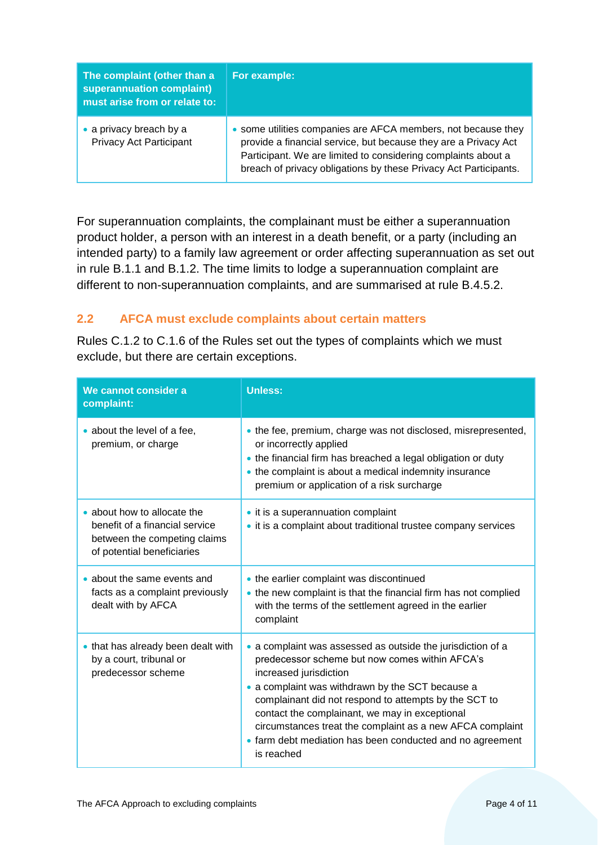| The complaint (other than a<br>superannuation complaint)<br>must arise from or relate to: | For example:                                                                                                                                                                                                                                                          |
|-------------------------------------------------------------------------------------------|-----------------------------------------------------------------------------------------------------------------------------------------------------------------------------------------------------------------------------------------------------------------------|
| • a privacy breach by a<br><b>Privacy Act Participant</b>                                 | • some utilities companies are AFCA members, not because they<br>provide a financial service, but because they are a Privacy Act<br>Participant. We are limited to considering complaints about a<br>breach of privacy obligations by these Privacy Act Participants. |

For superannuation complaints, the complainant must be either a superannuation product holder, a person with an interest in a death benefit, or a party (including an intended party) to a family law agreement or order affecting superannuation as set out in rule B.1.1 and B.1.2. The time limits to lodge a superannuation complaint are different to non-superannuation complaints, and are summarised at rule B.4.5.2.

#### <span id="page-3-0"></span>**2.2 AFCA must exclude complaints about certain matters**

Rules C.1.2 to C.1.6 of the Rules set out the types of complaints which we must exclude, but there are certain exceptions.

| We cannot consider a<br>complaint:                                                                                          | <b>Unless:</b>                                                                                                                                                                                                                                                                                                                                                                                                                                 |
|-----------------------------------------------------------------------------------------------------------------------------|------------------------------------------------------------------------------------------------------------------------------------------------------------------------------------------------------------------------------------------------------------------------------------------------------------------------------------------------------------------------------------------------------------------------------------------------|
| • about the level of a fee,<br>premium, or charge                                                                           | • the fee, premium, charge was not disclosed, misrepresented,<br>or incorrectly applied<br>• the financial firm has breached a legal obligation or duty<br>• the complaint is about a medical indemnity insurance<br>premium or application of a risk surcharge                                                                                                                                                                                |
| • about how to allocate the<br>benefit of a financial service<br>between the competing claims<br>of potential beneficiaries | • it is a superannuation complaint<br>• it is a complaint about traditional trustee company services                                                                                                                                                                                                                                                                                                                                           |
| • about the same events and<br>facts as a complaint previously<br>dealt with by AFCA                                        | • the earlier complaint was discontinued<br>• the new complaint is that the financial firm has not complied<br>with the terms of the settlement agreed in the earlier<br>complaint                                                                                                                                                                                                                                                             |
| • that has already been dealt with<br>by a court, tribunal or<br>predecessor scheme                                         | • a complaint was assessed as outside the jurisdiction of a<br>predecessor scheme but now comes within AFCA's<br>increased jurisdiction<br>• a complaint was withdrawn by the SCT because a<br>complainant did not respond to attempts by the SCT to<br>contact the complainant, we may in exceptional<br>circumstances treat the complaint as a new AFCA complaint<br>• farm debt mediation has been conducted and no agreement<br>is reached |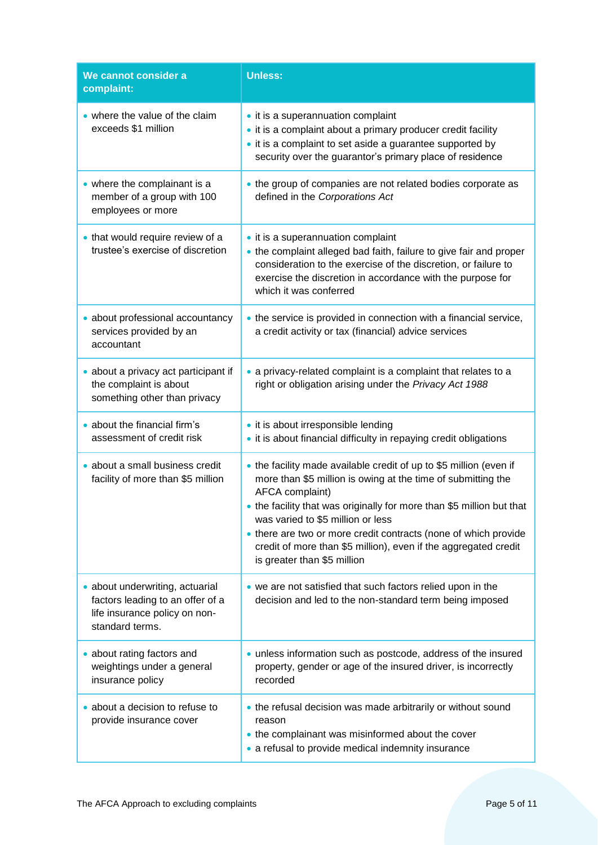| We cannot consider a<br>complaint:                                                                                      | <b>Unless:</b>                                                                                                                                                                                                                                                                                                                                                                                                                           |
|-------------------------------------------------------------------------------------------------------------------------|------------------------------------------------------------------------------------------------------------------------------------------------------------------------------------------------------------------------------------------------------------------------------------------------------------------------------------------------------------------------------------------------------------------------------------------|
| • where the value of the claim<br>exceeds \$1 million                                                                   | • it is a superannuation complaint<br>• it is a complaint about a primary producer credit facility<br>• it is a complaint to set aside a guarantee supported by<br>security over the guarantor's primary place of residence                                                                                                                                                                                                              |
| • where the complainant is a<br>member of a group with 100<br>employees or more                                         | • the group of companies are not related bodies corporate as<br>defined in the Corporations Act                                                                                                                                                                                                                                                                                                                                          |
| . that would require review of a<br>trustee's exercise of discretion                                                    | • it is a superannuation complaint<br>• the complaint alleged bad faith, failure to give fair and proper<br>consideration to the exercise of the discretion, or failure to<br>exercise the discretion in accordance with the purpose for<br>which it was conferred                                                                                                                                                                       |
| · about professional accountancy<br>services provided by an<br>accountant                                               | • the service is provided in connection with a financial service,<br>a credit activity or tax (financial) advice services                                                                                                                                                                                                                                                                                                                |
| • about a privacy act participant if<br>the complaint is about<br>something other than privacy                          | • a privacy-related complaint is a complaint that relates to a<br>right or obligation arising under the Privacy Act 1988                                                                                                                                                                                                                                                                                                                 |
| • about the financial firm's<br>assessment of credit risk                                                               | • it is about irresponsible lending<br>• it is about financial difficulty in repaying credit obligations                                                                                                                                                                                                                                                                                                                                 |
| · about a small business credit<br>facility of more than \$5 million                                                    | • the facility made available credit of up to \$5 million (even if<br>more than \$5 million is owing at the time of submitting the<br>AFCA complaint)<br>• the facility that was originally for more than \$5 million but that<br>was varied to \$5 million or less<br>• there are two or more credit contracts (none of which provide<br>credit of more than \$5 million), even if the aggregated credit<br>is greater than \$5 million |
| · about underwriting, actuarial<br>factors leading to an offer of a<br>life insurance policy on non-<br>standard terms. | • we are not satisfied that such factors relied upon in the<br>decision and led to the non-standard term being imposed                                                                                                                                                                                                                                                                                                                   |
| • about rating factors and<br>weightings under a general<br>insurance policy                                            | • unless information such as postcode, address of the insured<br>property, gender or age of the insured driver, is incorrectly<br>recorded                                                                                                                                                                                                                                                                                               |
| • about a decision to refuse to<br>provide insurance cover                                                              | • the refusal decision was made arbitrarily or without sound<br>reason<br>• the complainant was misinformed about the cover<br>• a refusal to provide medical indemnity insurance                                                                                                                                                                                                                                                        |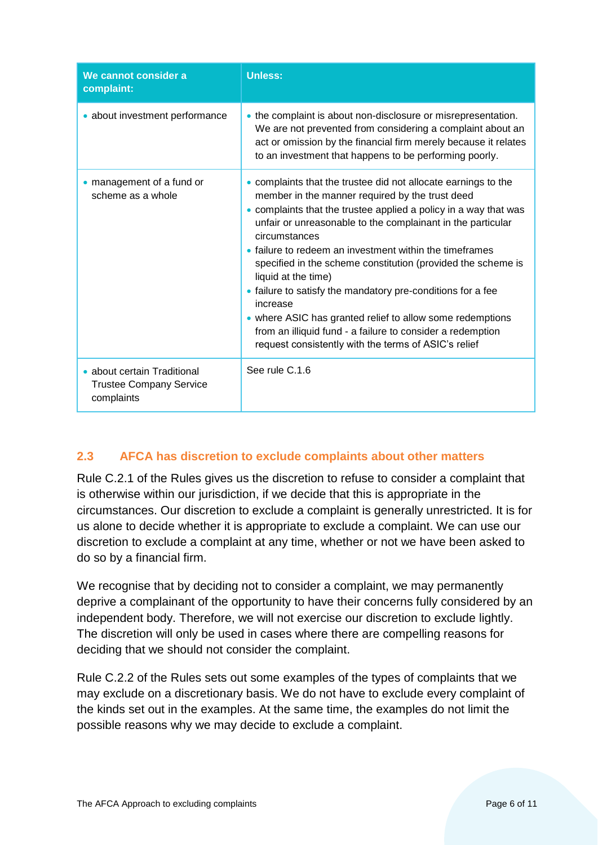| We cannot consider a<br>complaint:                                          | <b>Unless:</b>                                                                                                                                                                                                                                                                                                                                                                                                                                                                                                                                                                                                                                                                        |
|-----------------------------------------------------------------------------|---------------------------------------------------------------------------------------------------------------------------------------------------------------------------------------------------------------------------------------------------------------------------------------------------------------------------------------------------------------------------------------------------------------------------------------------------------------------------------------------------------------------------------------------------------------------------------------------------------------------------------------------------------------------------------------|
| • about investment performance                                              | • the complaint is about non-disclosure or misrepresentation.<br>We are not prevented from considering a complaint about an<br>act or omission by the financial firm merely because it relates<br>to an investment that happens to be performing poorly.                                                                                                                                                                                                                                                                                                                                                                                                                              |
| • management of a fund or<br>scheme as a whole                              | • complaints that the trustee did not allocate earnings to the<br>member in the manner required by the trust deed<br>• complaints that the trustee applied a policy in a way that was<br>unfair or unreasonable to the complainant in the particular<br>circumstances<br>• failure to redeem an investment within the timeframes<br>specified in the scheme constitution (provided the scheme is<br>liquid at the time)<br>• failure to satisfy the mandatory pre-conditions for a fee<br>increase<br>• where ASIC has granted relief to allow some redemptions<br>from an illiquid fund - a failure to consider a redemption<br>request consistently with the terms of ASIC's relief |
| • about certain Traditional<br><b>Trustee Company Service</b><br>complaints | See rule C.1.6                                                                                                                                                                                                                                                                                                                                                                                                                                                                                                                                                                                                                                                                        |

## <span id="page-5-0"></span>**2.3 AFCA has discretion to exclude complaints about other matters**

Rule C.2.1 of the Rules gives us the discretion to refuse to consider a complaint that is otherwise within our jurisdiction, if we decide that this is appropriate in the circumstances. Our discretion to exclude a complaint is generally unrestricted. It is for us alone to decide whether it is appropriate to exclude a complaint. We can use our discretion to exclude a complaint at any time, whether or not we have been asked to do so by a financial firm.

We recognise that by deciding not to consider a complaint, we may permanently deprive a complainant of the opportunity to have their concerns fully considered by an independent body. Therefore, we will not exercise our discretion to exclude lightly. The discretion will only be used in cases where there are compelling reasons for deciding that we should not consider the complaint.

Rule C.2.2 of the Rules sets out some examples of the types of complaints that we may exclude on a discretionary basis. We do not have to exclude every complaint of the kinds set out in the examples. At the same time, the examples do not limit the possible reasons why we may decide to exclude a complaint.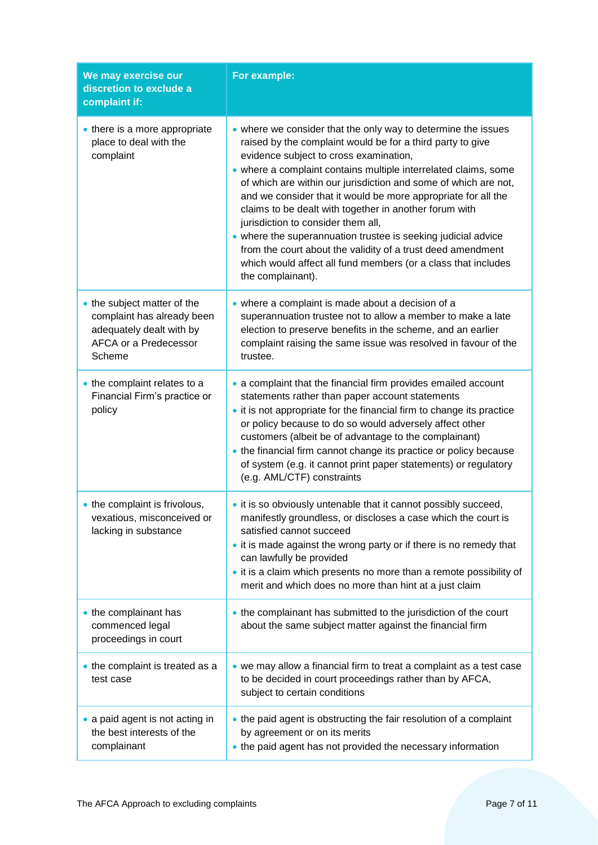| We may exercise our<br>discretion to exclude a<br>complaint if:                                                          | For example:                                                                                                                                                                                                                                                                                                                                                                                                                                                                                                                                                                                                                                                                                       |
|--------------------------------------------------------------------------------------------------------------------------|----------------------------------------------------------------------------------------------------------------------------------------------------------------------------------------------------------------------------------------------------------------------------------------------------------------------------------------------------------------------------------------------------------------------------------------------------------------------------------------------------------------------------------------------------------------------------------------------------------------------------------------------------------------------------------------------------|
| • there is a more appropriate<br>place to deal with the<br>complaint                                                     | • where we consider that the only way to determine the issues<br>raised by the complaint would be for a third party to give<br>evidence subject to cross examination,<br>• where a complaint contains multiple interrelated claims, some<br>of which are within our jurisdiction and some of which are not,<br>and we consider that it would be more appropriate for all the<br>claims to be dealt with together in another forum with<br>jurisdiction to consider them all,<br>• where the superannuation trustee is seeking judicial advice<br>from the court about the validity of a trust deed amendment<br>which would affect all fund members (or a class that includes<br>the complainant). |
| • the subject matter of the<br>complaint has already been<br>adequately dealt with by<br>AFCA or a Predecessor<br>Scheme | • where a complaint is made about a decision of a<br>superannuation trustee not to allow a member to make a late<br>election to preserve benefits in the scheme, and an earlier<br>complaint raising the same issue was resolved in favour of the<br>trustee.                                                                                                                                                                                                                                                                                                                                                                                                                                      |
| • the complaint relates to a<br>Financial Firm's practice or<br>policy                                                   | a complaint that the financial firm provides emailed account<br>statements rather than paper account statements<br>• it is not appropriate for the financial firm to change its practice<br>or policy because to do so would adversely affect other<br>customers (albeit be of advantage to the complainant)<br>• the financial firm cannot change its practice or policy because<br>of system (e.g. it cannot print paper statements) or regulatory<br>(e.g. AML/CTF) constraints                                                                                                                                                                                                                 |
| • the complaint is frivolous,<br>vexatious, misconceived or<br>lacking in substance                                      | • it is so obviously untenable that it cannot possibly succeed,<br>manifestly groundless, or discloses a case which the court is<br>satisfied cannot succeed<br>• it is made against the wrong party or if there is no remedy that<br>can lawfully be provided<br>. it is a claim which presents no more than a remote possibility of<br>merit and which does no more than hint at a just claim                                                                                                                                                                                                                                                                                                    |
| • the complainant has<br>commenced legal<br>proceedings in court                                                         | • the complainant has submitted to the jurisdiction of the court<br>about the same subject matter against the financial firm                                                                                                                                                                                                                                                                                                                                                                                                                                                                                                                                                                       |
| • the complaint is treated as a<br>test case                                                                             | • we may allow a financial firm to treat a complaint as a test case<br>to be decided in court proceedings rather than by AFCA,<br>subject to certain conditions                                                                                                                                                                                                                                                                                                                                                                                                                                                                                                                                    |
| • a paid agent is not acting in<br>the best interests of the<br>complainant                                              | • the paid agent is obstructing the fair resolution of a complaint<br>by agreement or on its merits<br>• the paid agent has not provided the necessary information                                                                                                                                                                                                                                                                                                                                                                                                                                                                                                                                 |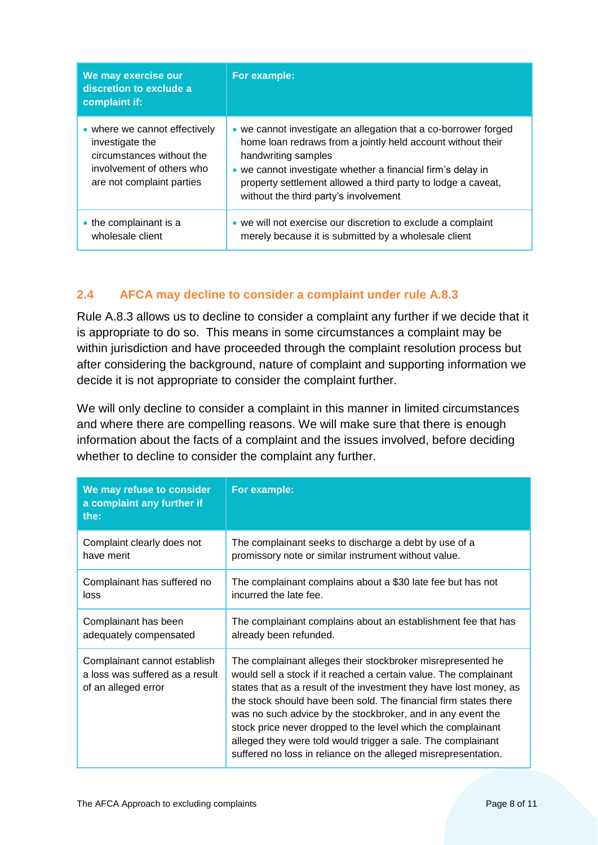| We may exercise our<br>discretion to exclude a<br>complaint if:                                                                         | For example:                                                                                                                                                                                                                                                                                                                  |
|-----------------------------------------------------------------------------------------------------------------------------------------|-------------------------------------------------------------------------------------------------------------------------------------------------------------------------------------------------------------------------------------------------------------------------------------------------------------------------------|
| • where we cannot effectively<br>investigate the<br>circumstances without the<br>involvement of others who<br>are not complaint parties | • we cannot investigate an allegation that a co-borrower forged<br>home loan redraws from a jointly held account without their<br>handwriting samples<br>• we cannot investigate whether a financial firm's delay in<br>property settlement allowed a third party to lodge a caveat,<br>without the third party's involvement |
| $\bullet$ the complainant is a<br>wholesale client                                                                                      | • we will not exercise our discretion to exclude a complaint<br>merely because it is submitted by a wholesale client                                                                                                                                                                                                          |

## <span id="page-7-0"></span>**2.4 AFCA may decline to consider a complaint under rule A.8.3**

Rule A.8.3 allows us to decline to consider a complaint any further if we decide that it is appropriate to do so. This means in some circumstances a complaint may be within jurisdiction and have proceeded through the complaint resolution process but after considering the background, nature of complaint and supporting information we decide it is not appropriate to consider the complaint further.

We will only decline to consider a complaint in this manner in limited circumstances and where there are compelling reasons. We will make sure that there is enough information about the facts of a complaint and the issues involved, before deciding whether to decline to consider the complaint any further.

| We may refuse to consider<br>a complaint any further if<br>the:                        | For example:                                                                                                                                                                                                                                                                                                                                                                                                                                                                                                                                |
|----------------------------------------------------------------------------------------|---------------------------------------------------------------------------------------------------------------------------------------------------------------------------------------------------------------------------------------------------------------------------------------------------------------------------------------------------------------------------------------------------------------------------------------------------------------------------------------------------------------------------------------------|
| Complaint clearly does not                                                             | The complainant seeks to discharge a debt by use of a                                                                                                                                                                                                                                                                                                                                                                                                                                                                                       |
| have merit                                                                             | promissory note or similar instrument without value.                                                                                                                                                                                                                                                                                                                                                                                                                                                                                        |
| Complainant has suffered no                                                            | The complainant complains about a \$30 late fee but has not                                                                                                                                                                                                                                                                                                                                                                                                                                                                                 |
| loss                                                                                   | incurred the late fee.                                                                                                                                                                                                                                                                                                                                                                                                                                                                                                                      |
| Complainant has been                                                                   | The complainant complains about an establishment fee that has                                                                                                                                                                                                                                                                                                                                                                                                                                                                               |
| adequately compensated                                                                 | already been refunded.                                                                                                                                                                                                                                                                                                                                                                                                                                                                                                                      |
| Complainant cannot establish<br>a loss was suffered as a result<br>of an alleged error | The complainant alleges their stockbroker misrepresented he<br>would sell a stock if it reached a certain value. The complainant<br>states that as a result of the investment they have lost money, as<br>the stock should have been sold. The financial firm states there<br>was no such advice by the stockbroker, and in any event the<br>stock price never dropped to the level which the complainant<br>alleged they were told would trigger a sale. The complainant<br>suffered no loss in reliance on the alleged misrepresentation. |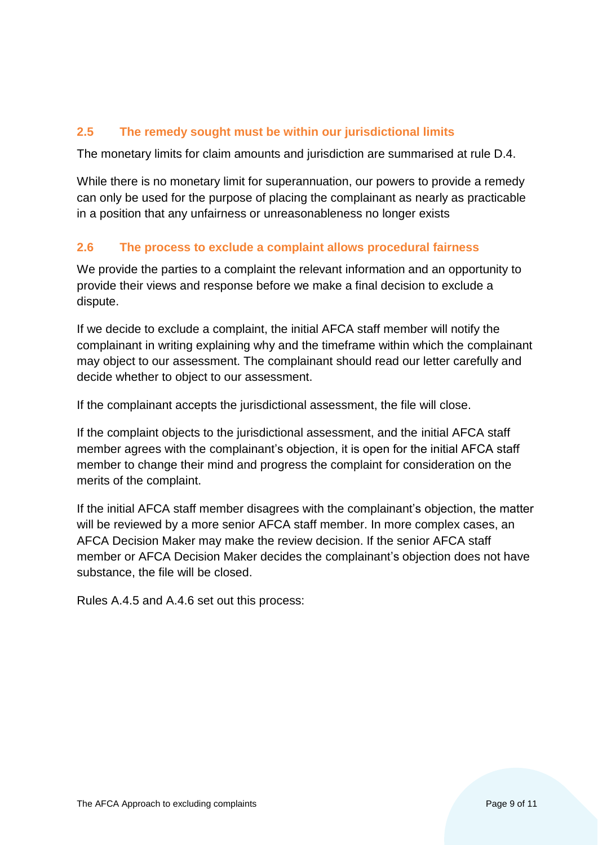## <span id="page-8-0"></span>**2.5 The remedy sought must be within our jurisdictional limits**

The monetary limits for claim amounts and jurisdiction are summarised at rule D.4.

While there is no monetary limit for superannuation, our powers to provide a remedy can only be used for the purpose of placing the complainant as nearly as practicable in a position that any unfairness or unreasonableness no longer exists

#### <span id="page-8-1"></span>**2.6 The process to exclude a complaint allows procedural fairness**

We provide the parties to a complaint the relevant information and an opportunity to provide their views and response before we make a final decision to exclude a dispute.

If we decide to exclude a complaint, the initial AFCA staff member will notify the complainant in writing explaining why and the timeframe within which the complainant may object to our assessment. The complainant should read our letter carefully and decide whether to object to our assessment.

If the complainant accepts the jurisdictional assessment, the file will close.

If the complaint objects to the jurisdictional assessment, and the initial AFCA staff member agrees with the complainant's objection, it is open for the initial AFCA staff member to change their mind and progress the complaint for consideration on the merits of the complaint.

If the initial AFCA staff member disagrees with the complainant's objection, the matter will be reviewed by a more senior AFCA staff member. In more complex cases, an AFCA Decision Maker may make the review decision. If the senior AFCA staff member or AFCA Decision Maker decides the complainant's objection does not have substance, the file will be closed.

Rules A.4.5 and A.4.6 set out this process: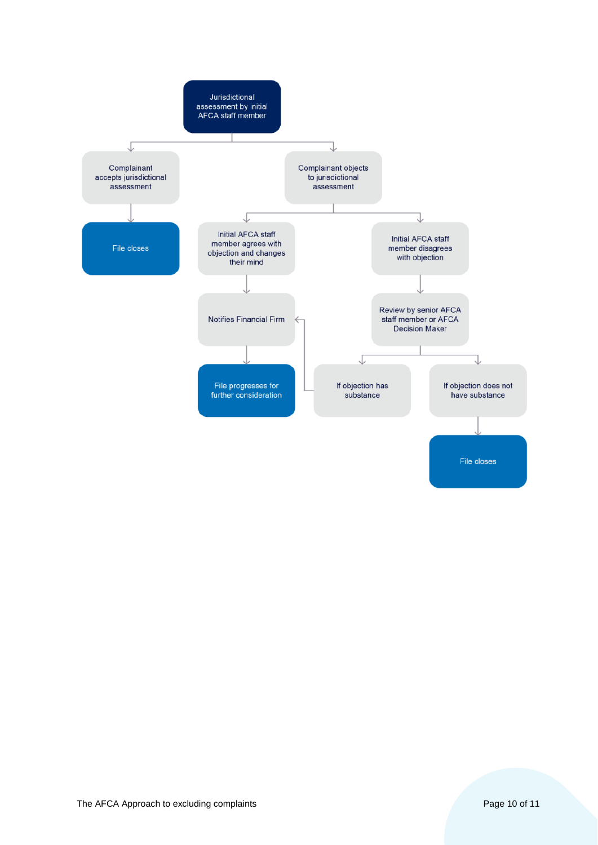